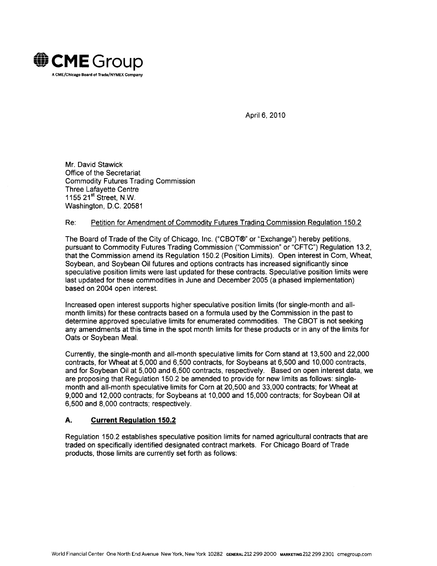

April 6, 2010

Mr. David Stawick Office of the Secretariat Commodity Futures Trading Commission Three Lafayette Centre 1155 21<sup>st</sup> Street, N.W. Washington, D.C. 20581

# Re: Petition for Amendment of Commodity Futures Trading Commission Regulation 150.2

The Board of Trade of the City of Chicago, Inc. ("CBOT®" or "Exchange") hereby petitions, pursuant to Commodity Futures Trading Commission ("Commission" or "CFTC") Regulation 13.2, that the Commission amend its Regulation 150.2 (Position Limits). Open interest in Corn, Wheat, Soybean, and Soybean Oil futures and options contracts has increased significantly since speculative position limits were last updated for these contracts. Speculative position limits were last updated for these commodities in June and December 2005 (a phased implementation) based on 2004 open interest.

Increased open interest supports higher speculative position limits (for single-month and allmonth limits) for these contracts based on a formula used by the Commission in the past to determine approved speculative limits for enumerated commodities. The CBOT is not seeking any amendments at this time in the spot month limits for these products or in any of the limits for Oats or Soybean Meal.

Currently, the single-month and all-month speculative limits for Corn stand at 13,500 and 22,000 contracts, for Wheat at 5,000 and 6,500 contracts, for Soybeans at 6,500 and 10,000 contracts, and for Soybean Oil at 5,000 and 6,500 contracts, respectively. Based on open interest data, we are proposing that Regulation 150.2 be amended to provide for new limits as follows: singlemonth and all-month speculative limits for Corn at 20,500 and 33,000 contracts; for Wheat at 9,000 and 12,000 contracts; for Soybeans at 10,000 and 15,000 contracts; for Soybean Oil at 6,500 and 8,000 contracts; respectively.

# **A. Current Regulation 150.2**

Regulation 150.2 establishes speculative position limits for named agricultural contracts that are traded on specifically identified designated contract markets. For Chicago Board of Trade products, those limits are currently set forth as follows: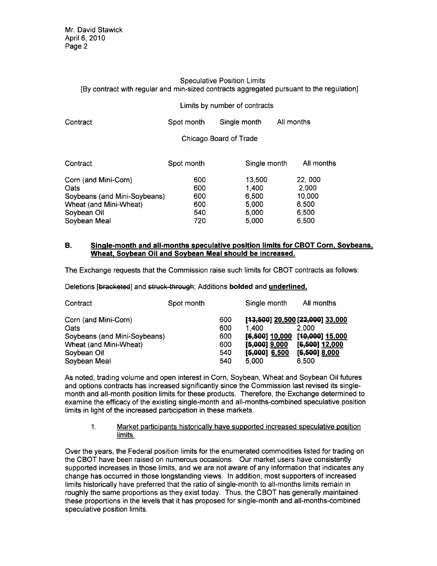#### Speculative Position Limits [By contract with regular and min-sized contracts aggregated pursuant to the regulation]

#### Limits by number of contracts

| Contract             | Spot month             | Single month | All months |  |
|----------------------|------------------------|--------------|------------|--|
|                      | Chicago Board of Trade |              |            |  |
| Contract             | Spot month             | Single month | All months |  |
| Corn (and Mini-Corn) | 600                    | 13,500       | 22,000     |  |

Oats 600 1,400 2,000 Soybeans (and Mini-Soybeans) 600 6,500 10,000

| Wheat (and Mini-Wheat) | 600 | 5.000 | 6,500 |  |
|------------------------|-----|-------|-------|--|
| Sovbean Oil            | 540 | 5.000 | 6.500 |  |
| Sovbean Meal           | 720 | 5.000 | 6.500 |  |
|                        |     |       |       |  |
|                        |     |       |       |  |

## **B. Single-month and all-months speculative position limits for CBOT Corn, Soybeans, Wheat, Soybean Oil and Soybean Meal should be increased.**

The Exchange requests that the Commission raise such limits for CBOT contracts as follows:

Deletions [bracketed] and struck through; Additions **bolded** and **underlined.** 

| Contract                             | Spot month |            | Single month               | All months                               |
|--------------------------------------|------------|------------|----------------------------|------------------------------------------|
| Corn (and Mini-Corn)                 |            | 600        |                            | [43,500] 20,500 [22,000] 33,000<br>2.000 |
| Oats<br>Soybeans (and Mini-Soybeans) |            | 600<br>600 | 1.400<br>$[6, 500]$ 10,000 | [40,000] 15,000                          |
| Wheat (and Mini-Wheat)               |            | 600        | $[5,000]$ 9,000            | $[6, 500]$ 12,000                        |
| Soybean Oil                          |            | 540        | $[5,000]$ 6,500            | $[6, 500]$ 8,000                         |
| Soybean Meal                         |            | 540        | 5.000                      | 6.500                                    |

As noted, trading volume and open interest in Corn, Soybean, Wheat and Soybean Oil futures and options contracts has increased significantly since the Commission last revised its singlemonth and all-month position limits for these products. Therefore, the Exchange determined to examine the efficacy of the existing single-month and all-months-combined speculative position limits in light of the increased participation in these markets.

## 1. Market participants historically have supported increased speculative position limits.

Over the years, the Federal position limits for the enumerated commodities listed for trading on the CBOT have been raised on numerous occasions. Our market users have consistently supported increases in those limits, and we are not aware of any information that indicates any change has occurred in those longstanding views. In addition, most supporters of increased limits historically have preferred that the ratio of single-month to all-months limits remain in roughly the same proportions as they exist today. Thus, the CBOT has generally maintained these proportions in the levels that it has proposed for single-month and all-months-combined speculative position limits.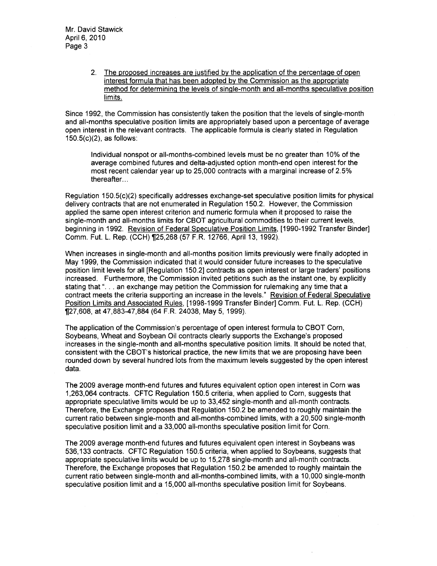2. The proposed increases are justified by the application of the percentage of open interest formula that has been adopted by the Commission as the appropriate method for determining the levels of single-month and all-months speculative position limits.

Since 1992, the Commission has consistently taken the position that the levels of single-month and all-months speculative position limits are appropriately based upon a percentage of average open interest in the relevant contracts. The applicable formula is clearly stated in Regulation 150.5(c)(2), as follows:

Individual nonspot or all-months-combined levels must be no greater than 10% of the average combined futures and delta-adjusted option month-end open interest for the most recent calendar year up to 25,000 contracts with a marginal increase of 2.5% thereafter...

Regulation 150.5(c)(2) specifically addresses exchange-set speculative position limits for physical delivery contracts that are not enumerated in Regulation 150.2. However, the Commission applied the same open interest criterion and numeric formula when it proposed to raise the single-month and all-months limits for CBOT agricultural commodities to their current levels, beginning in 1992. Revision of Federal Speculative Position Limits, [1990-1992 Transfer Binder] Comm. Fut. L. Rep. (CCH) 1[25,268 (57 F. R. 12766, April 13, 1992).

When increases in single-month and all-months position limits previously were finally adopted in May 1999, the Commission indicated that it would consider future increases to the speculative position limit levels for all [Regulation 150.2] contracts as open interest or large traders' positions increased. Furthermore, the Commission invited petitions such as the instant one, by explicitly stating that "... an exchange may petition the Commission for rulemaking any time that a contract meets the criteria supporting an increase in the levels." Revision of Federal Speculative Position Limits and Associated Rules, [1998-1999 Transfer Binder] Comm. Fut. L. Rep. (CCH) 1[27,608, at 47,883-47,884 (64 F.R. 24038, May 5, 1999).

The application of the Commission's percentage of open interest formula to CBOT Corn, Soybeans, Wheat and Soybean Oil contracts clearly supports the Exchange's proposed increases in the single-month and all-months speculative position limits. It should be noted that, consistent with the CBOT's historical practice, the new limits that we are proposing have been rounded down by several hundred lots from the maximum levels suggested by the open interest data.

The 2009 average month-end futures and futures equivalent option open interest in Corn was 1 ,263,064 contracts. CFTC Regulation 150.5 criteria, when applied to Corn, suggests that appropriate speculative limits would be up to 33,452 single-month and all-month contracts. Therefore, the Exchange proposes that Regulation 150.2 be amended to roughly maintain the current ratio between single-month and all-months-combined limits, with a 20,500 single-month speculative position limit and a 33,000 all-months speculative position limit for Corn.

The 2009 average month-end futures and futures equivalent open interest in Soybeans was 536,133 contracts. CFTC Regulation 150.5 criteria, when applied to Soybeans, suggests that appropriate speculative limits would be up to 15,278 single-month and all-month contracts. Therefore, the Exchange proposes that Regulation 150.2 be amended to roughly maintain the current ratio between single-month and all-months-combined limits, with a 10,000 single-month speculative position limit and a 15,000 all-months speculative position limit for Soybeans.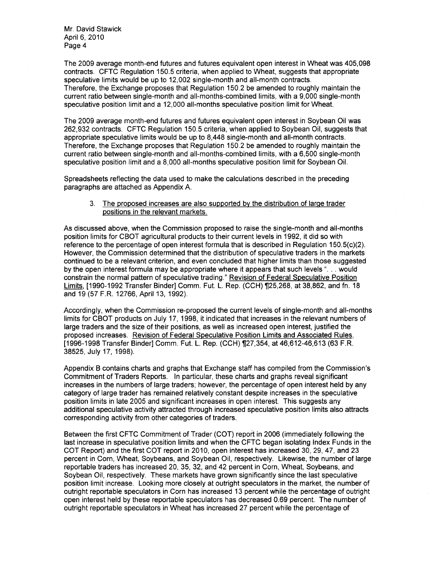Mr. David Stawick April 6, 2010 Page 4

The 2009 average month-end futures and futures equivalent open interest in Wheat was 405,098 contracts. CFTC Regulation 150.5 criteria, when applied to Wheat, suggests that appropriate speculative limits would be up to 12,002 single-month and all-month contracts. Therefore, the Exchange proposes that Regulation 150.2 be amended to roughly maintain the current ratio between single-month and all-months-combined limits, with a 9,000 single-month speculative position limit and a 12,000 all-months speculative position limit for Wheat.

The 2009 average month-end futures and futures equivalent open interest in Soybean Oil was 262,932 contracts. CFTC Regulation 150.5 criteria, when applied to Soybean Oil, suggests that appropriate speculative limits would be up to 8,448 single-month and all-month contracts. Therefore, the Exchange proposes that Regulation 150.2 be amended to roughly maintain the current ratio between single-month and all-months-combined limits, with a 6,500 single-month speculative position limit and a 8,000 all-months speculative position limit for Soybean Oil.

Spreadsheets reflecting the data used to make the calculations described in the preceding paragraphs are attached as Appendix A.

3. The proposed increases are also supported by the distribution of large trader positions in the relevant markets.

As discussed above, when the Commission proposed to raise the single-month and all-months position limits for CBOT agricultural products to their current levels in 1992, it did so with reference to the percentage of open interest formula that is described in Regulation 150.5(c)(2). However, the Commission determined that the distribution of speculative traders in the markets continued to be a relevant criterion, and even concluded that higher limits than those suggested by the open interest formula may be appropriate where it appears that such levels "... would constrain the normal pattern of speculative trading." Revision of Federal Speculative Position Limits, [1990-1992 Transfer Binder] Comm. Fut. L. Rep. (CCH) 1125,268, at 38,862, and fn. 18 and 19 (57 F.R. 12766, April 13, 1992).

Accordingly, when the Commission re-proposed the current levels of single-month and all-months limits for CBOT products on July 17, 1998, it indicated that increases in the relevant numbers of large traders and the size of their positions, as well as increased open interest, justified the proposed increases. Revision of Federal Speculative Position Limits and Associated Rules, [1996-1998 Transfer Binder] Comm. Fut. L. Rep. (CCH) 1127,354, at 46,612-46,613 (63 F.R. 38525, July 17, 1998).

Appendix B contains charts and graphs that Exchange staff has compiled from the Commission's Commitment of Traders Reports. In particular, these charts and graphs reveal significant increases in the numbers of large traders; however, the percentage of open interest held by any category of large trader has remained relatively constant despite increases in the speculative position limits in late 2005 and significant increases in open interest. This suggests any additional speculative activity attracted through increased speculative position limits also attracts corresponding activity from other categories of traders.

Between the first CFTC Commitment of Trader (COT) report in 2006 (immediately following the last increase in speculative position limits and when the CFTC began isolating Index Funds in the COT Report) and the first COT report in 2010, open interest has increased 30, 29, 47, and 23 percent in Corn, Wheat, Soybeans, and Soybean Oil, respectively. Likewise, the number of large reportable traders has increased 20, 35, 32, and 42 percent in Corn, Wheat, Soybeans, and Soybean Oil, respectively. These markets have grown significantly since the last speculative position limit increase. Looking more closely at outright speculators in the market, the number of outright reportable speculators in Corn has increased 13 percent while the percentage of outright open interest held by these reportable speculators has decreased 0.69 percent. The number of outright reportable speculators in Wheat has increased 27 percent while the percentage of